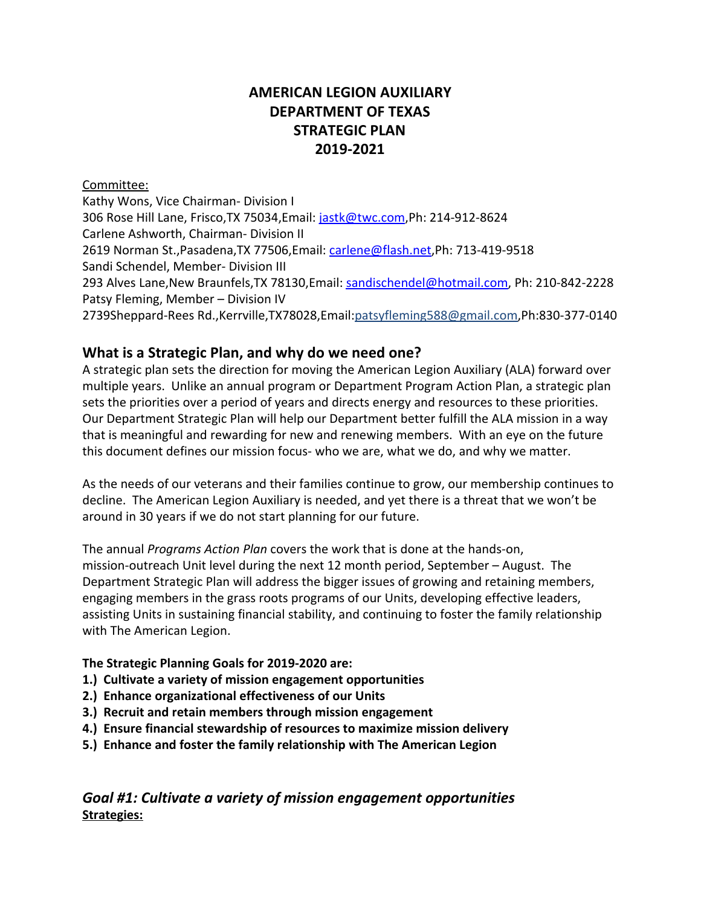## **AMERICAN LEGION AUXILIARY DEPARTMENT OF TEXAS STRATEGIC PLAN 2019-2021**

#### Committee:

Kathy Wons, Vice Chairman- Division I 306 Rose Hill Lane, Frisco,TX 75034,Email: [jastk@twc.com,](mailto:jastk@twc.com)Ph: 214-912-8624 Carlene Ashworth, Chairman- Division II 2619 Norman St.,Pasadena,TX 77506,Email: [carlene@flash.net,](mailto:carlene@flash.net)Ph: 713-419-9518 Sandi Schendel, Member- Division III 293 Alves Lane,New Braunfels,TX 78130,Email: [sandischendel@hotmail.com,](mailto:sandischendel@hotmail.com) Ph: 210-842-2228 Patsy Fleming, Member – Division IV 2739Sheppard-Rees Rd.,Kerrville,TX78028,Email:patsyfleming588@gmail.com,Ph:830-377-0140

#### **What is a Strategic Plan, and why do we need one?**

A strategic plan sets the direction for moving the American Legion Auxiliary (ALA) forward over multiple years. Unlike an annual program or Department Program Action Plan, a strategic plan sets the priorities over a period of years and directs energy and resources to these priorities. Our Department Strategic Plan will help our Department better fulfill the ALA mission in a way that is meaningful and rewarding for new and renewing members. With an eye on the future this document defines our mission focus- who we are, what we do, and why we matter.

As the needs of our veterans and their families continue to grow, our membership continues to decline. The American Legion Auxiliary is needed, and yet there is a threat that we won't be around in 30 years if we do not start planning for our future.

The annual *Programs Action Plan* covers the work that is done at the hands-on, mission-outreach Unit level during the next 12 month period, September – August. The Department Strategic Plan will address the bigger issues of growing and retaining members, engaging members in the grass roots programs of our Units, developing effective leaders, assisting Units in sustaining financial stability, and continuing to foster the family relationship with The American Legion.

#### **The Strategic Planning Goals for 2019-2020 are:**

- **1.) Cultivate a variety of mission engagement opportunities**
- **2.) Enhance organizational effectiveness of our Units**
- **3.) Recruit and retain members through mission engagement**
- **4.) Ensure financial stewardship of resources to maximize mission delivery**
- **5.) Enhance and foster the family relationship with The American Legion**

*Goal #1: Cultivate a variety of mission engagement opportunities* **Strategies:**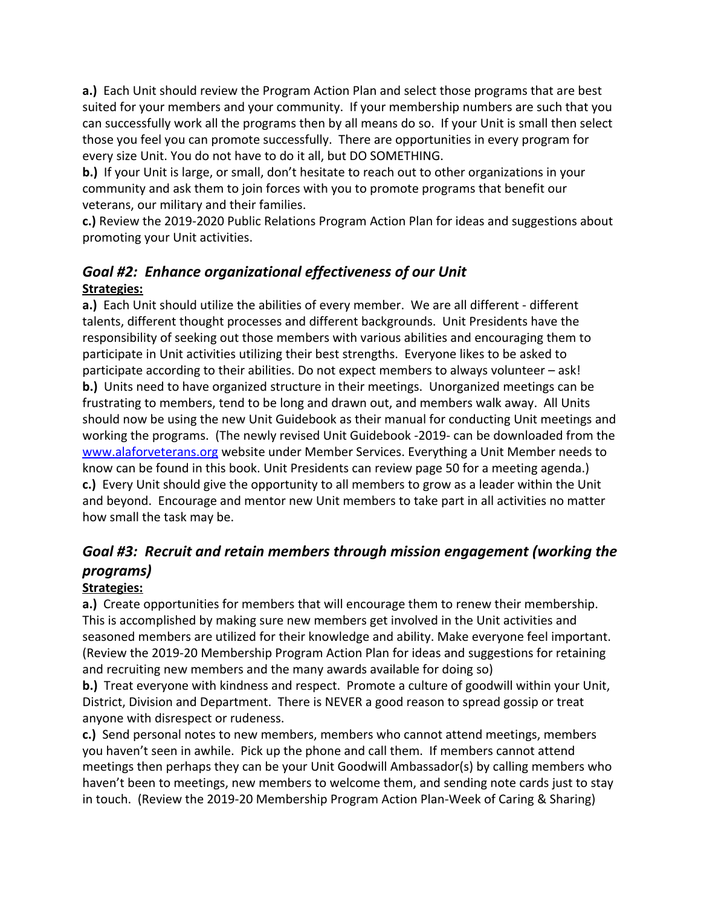**a.)** Each Unit should review the Program Action Plan and select those programs that are best suited for your members and your community. If your membership numbers are such that you can successfully work all the programs then by all means do so. If your Unit is small then select those you feel you can promote successfully. There are opportunities in every program for every size Unit. You do not have to do it all, but DO SOMETHING.

**b.)** If your Unit is large, or small, don't hesitate to reach out to other organizations in your community and ask them to join forces with you to promote programs that benefit our veterans, our military and their families.

**c.)** Review the 2019-2020 Public Relations Program Action Plan for ideas and suggestions about promoting your Unit activities.

### *Goal #2: Enhance organizational effectiveness of our Unit* **Strategies:**

**a.)** Each Unit should utilize the abilities of every member. We are all different - different talents, different thought processes and different backgrounds. Unit Presidents have the responsibility of seeking out those members with various abilities and encouraging them to participate in Unit activities utilizing their best strengths. Everyone likes to be asked to participate according to their abilities. Do not expect members to always volunteer – ask! **b.)** Units need to have organized structure in their meetings. Unorganized meetings can be frustrating to members, tend to be long and drawn out, and members walk away. All Units should now be using the new Unit Guidebook as their manual for conducting Unit meetings and working the programs. (The newly revised Unit Guidebook -2019- can be downloaded from the [www.alaforveterans.org](http://www.alaforveterans.org/) website under Member Services. Everything a Unit Member needs to know can be found in this book. Unit Presidents can review page 50 for a meeting agenda.) **c.)** Every Unit should give the opportunity to all members to grow as a leader within the Unit and beyond. Encourage and mentor new Unit members to take part in all activities no matter how small the task may be.

# *Goal #3: Recruit and retain members through mission engagement (working the programs)*

#### **Strategies:**

**a.)** Create opportunities for members that will encourage them to renew their membership. This is accomplished by making sure new members get involved in the Unit activities and seasoned members are utilized for their knowledge and ability. Make everyone feel important. (Review the 2019-20 Membership Program Action Plan for ideas and suggestions for retaining and recruiting new members and the many awards available for doing so)

**b.)** Treat everyone with kindness and respect. Promote a culture of goodwill within your Unit, District, Division and Department. There is NEVER a good reason to spread gossip or treat anyone with disrespect or rudeness.

**c.)** Send personal notes to new members, members who cannot attend meetings, members you haven't seen in awhile. Pick up the phone and call them. If members cannot attend meetings then perhaps they can be your Unit Goodwill Ambassador(s) by calling members who haven't been to meetings, new members to welcome them, and sending note cards just to stay in touch. (Review the 2019-20 Membership Program Action Plan-Week of Caring & Sharing)